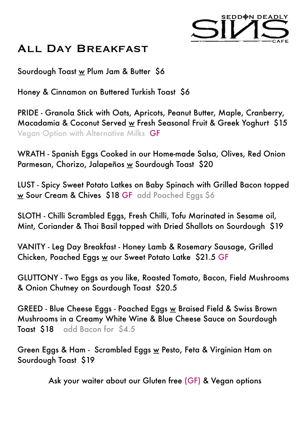

## All Day Breakfast

Sourdough Toast w Plum Jam & Butter \$6

Honey & Cinnamon on Buttered Turkish Toast \$6

PRIDE - Granola Stick with Oats, Apricots, Peanut Butter, Maple, Cranberry, Macadamia & Coconut Served w Fresh Seasonal Fruit & Greek Yoghurt \$15 Vegan Option with Alternative Milks GF

WRATH - Spanish Eggs Cooked in our Home-made Salsa, Olives, Red Onion Parmesan, Chorizo, Jalapeños w Sourdough Toast \$20

LUST - Spicy Sweet Potato Latkes on Baby Spinach with Grilled Bacon topped w Sour Cream & Chives \$18 GF add Poached Eggs \$6

SLOTH - Chilli Scrambled Eggs, Fresh Chilli, Tofu Marinated in Sesame oil, Mint, Coriander & Thai Basil topped with Dried Shallots on Sourdough \$19

VANITY - Leg Day Breakfast - Honey Lamb & Rosemary Sausage, Grilled Chicken, Poached Eggs w our Sweet Potato Latke \$21.5 GF

GLUTTONY - Two Eggs as you like, Roasted Tomato, Bacon, Field Mushrooms & Onion Chutney on Sourdough Toast \$20.5

GREED - Blue Cheese Eggs - Poached Eggs w Braised Field & Swiss Brown Mushrooms in a Creamy White Wine & Blue Cheese Sauce on Sourdough Toast \$18 add Bacon for \$4.5

Green Eggs & Ham - Scrambled Eggs w Pesto, Feta & Virginian Ham on Sourdough Toast \$19

Ask your waiter about our Gluten free (GF) & Vegan options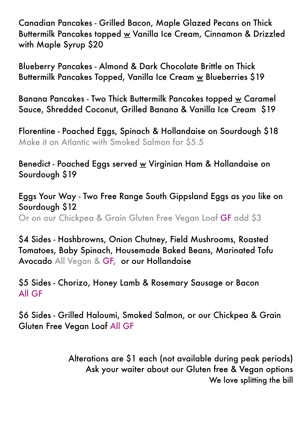Canadian Pancakes - Grilled Bacon, Maple Glazed Pecans on Thick Buttermilk Pancakes topped w Vanilla Ice Cream, Cinnamon & Drizzled with Maple Syrup \$20

Blueberry Pancakes - Almond & Dark Chocolate Brittle on Thick Buttermilk Pancakes Topped, Vanilla Ice Cream w Blueberries \$19

Banana Pancakes - Two Thick Buttermilk Pancakes topped w Caramel Sauce, Shredded Coconut, Grilled Banana & Vanilla Ice Cream \$19

Florentine - Poached Eggs, Spinach & Hollandaise on Sourdough \$18 Make it an Atlantic with Smoked Salmon for \$5.5

Benedict - Poached Eggs served w Virginian Ham & Hollandaise on Sourdough \$19

Eggs Your Way - Two Free Range South Gippsland Eggs as you like on Sourdough \$12 Or on our Chickpea & Grain Gluten Free Vegan Loaf GF add \$3

\$4 Sides - Hashbrowns, Onion Chutney, Field Mushrooms, Roasted Tomatoes, Baby Spinach, Housemade Baked Beans, Marinated Tofu Avocado All Vegan & GF, or our Hollandaise

\$5 Sides - Chorizo, Honey Lamb & Rosemary Sausage or Bacon All GF

\$6 Sides - Grilled Haloumi, Smoked Salmon, or our Chickpea & Grain Gluten Free Vegan Loaf All GF

> Alterations are \$1 each (not available during peak periods) Ask your waiter about our Gluten free & Vegan options We love splitting the bill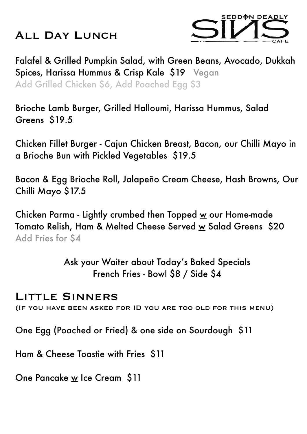## ALL DAY LUNCH



Falafel & Grilled Pumpkin Salad, with Green Beans, Avocado, Dukkah Spices, Harissa Hummus & Crisp Kale \$19 Vegan Add Grilled Chicken \$6, Add Poached Egg \$3

Brioche Lamb Burger, Grilled Halloumi, Harissa Hummus, Salad Greens \$19.5

Chicken Fillet Burger - Cajun Chicken Breast, Bacon, our Chilli Mayo in a Brioche Bun with Pickled Vegetables \$19.5

Bacon & Egg Brioche Roll, Jalapeño Cream Cheese, Hash Browns, Our Chilli Mayo \$17.5

Chicken Parma - Lightly crumbed then Topped  $\underline{w}$  our Home-made Tomato Relish, Ham & Melted Cheese Served w Salad Greens \$20 Add Fries for \$4

> Ask your Waiter about Today's Baked Specials French Fries - Bowl \$8 / Side \$4

#### Little Sinners

(If you have been asked for ID you are too old for this menu)

One Egg (Poached or Fried) & one side on Sourdough \$11

Ham & Cheese Toastie with Fries \$11

One Pancake w Ice Cream \$11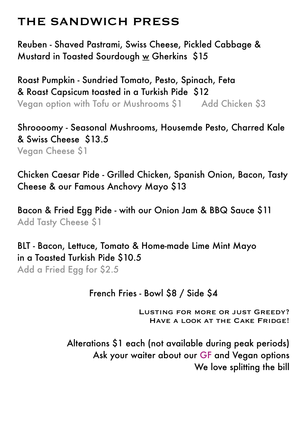# THE SANDWICH PRESS

Reuben - Shaved Pastrami, Swiss Cheese, Pickled Cabbage & Mustard in Toasted Sourdough  $\underline{w}$  Gherkins \$15

Roast Pumpkin - Sundried Tomato, Pesto, Spinach, Feta & Roast Capsicum toasted in a Turkish Pide \$12 Vegan option with Tofu or Mushrooms \$1 Add Chicken \$3

Shroooomy - Seasonal Mushrooms, Housemde Pesto, Charred Kale & Swiss Cheese \$13.5 Vegan Cheese \$1

Chicken Caesar Pide - Grilled Chicken, Spanish Onion, Bacon, Tasty Cheese & our Famous Anchovy Mayo \$13

Bacon & Fried Egg Pide - with our Onion Jam & BBQ Sauce \$11 Add Tasty Cheese \$1

BLT - Bacon, Lettuce, Tomato & Home-made Lime Mint Mayo in a Toasted Turkish Pide \$10.5 Add a Fried Egg for \$2.5

#### French Fries - Bowl \$8 / Side \$4

 Lusting for more or just Greedy? HAVE A LOOK AT THE CAKE FRIDGE!

Alterations \$1 each (not available during peak periods) Ask your waiter about our GF and Vegan options We love splitting the bill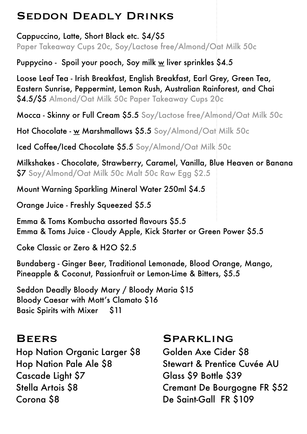## Seddon Deadly Drinks

Cappuccino, Latte, Short Black etc. \$4/\$5 Paper Takeaway Cups 20c, Soy/Lactose free/Almond/Oat Milk 50c

Puppycino - Spoil your pooch, Soy milk  $\underline{w}$  liver sprinkles \$4.5

Loose Leaf Tea - Irish Breakfast, English Breakfast, Earl Grey, Green Tea, Eastern Sunrise, Peppermint, Lemon Rush, Australian Rainforest, and Chai \$4.5/\$5 Almond/Oat Milk 50c Paper Takeaway Cups 20c

Mocca - Skinny or Full Cream \$5.5 Soy/Lactose free/Almond/Oat Milk 50c

Hot Chocolate - w Marshmallows \$5.5 Soy/Almond/Oat Milk 50c

Iced Coffee/Iced Chocolate \$5.5 Soy/Almond/Oat Milk 50c

Milkshakes - Chocolate, Strawberry, Caramel, Vanilla, Blue Heaven or Banana \$7 Soy/Almond/Oat Milk 50c Malt 50c Raw Egg \$2.5

Mount Warning Sparkling Mineral Water 250ml \$4.5

Orange Juice - Freshly Squeezed \$5.5

Emma & Toms Kombucha assorted flavours \$5.5 Emma & Toms Juice - Cloudy Apple, Kick Starter or Green Power \$5.5

Coke Classic or Zero & H2O \$2.5

Bundaberg - Ginger Beer, Traditional Lemonade, Blood Orange, Mango, Pineapple & Coconut, Passionfruit or Lemon-Lime & Bitters, \$5.5

Seddon Deadly Bloody Mary / Bloody Maria \$15 Bloody Caesar with Mott's Clamato \$16 Basic Spirits with Mixer \$11

#### **BEERS**

Hop Nation Organic Larger \$8 Hop Nation Pale Ale \$8 Cascade Light \$7 Stella Artois \$8 Corona \$8

#### Sparkling

Golden Axe Cider \$8 Stewart & Prentice Cuvée AU Glass \$9 Bottle \$39 Cremant De Bourgogne FR \$52 De Saint-Gall FR \$109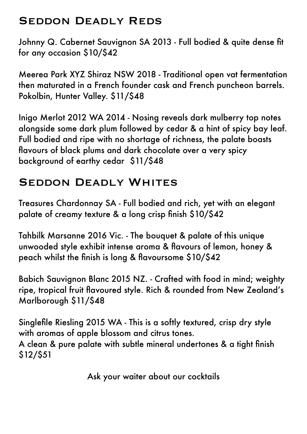## Seddon Deadly Reds

Johnny Q. Cabernet Sauvignon SA 2013 - Full bodied & quite dense fit for any occasion \$10/\$42

Meerea Park XYZ Shiraz NSW 2018 - Traditional open vat fermentation then maturated in a French founder cask and French puncheon barrels. Pokolbin, Hunter Valley. \$11/\$48

Inigo Merlot 2012 WA 2014 - Nosing reveals dark mulberry top notes alongside some dark plum followed by cedar & a hint of spicy bay leaf. Full bodied and ripe with no shortage of richness, the palate boasts flavours of black plums and dark chocolate over a very spicy background of earthy cedar \$11/\$48

## SEDDON DEADLY WHITES

Treasures Chardonnay SA - Full bodied and rich, yet with an elegant palate of creamy texture & a long crisp finish \$10/\$42

Tahbilk Marsanne 2016 Vic. - The bouquet & palate of this unique unwooded style exhibit intense aroma & flavours of lemon, honey & peach whilst the finish is long & flavoursome \$10/\$42

Babich Sauvignon Blanc 2015 NZ. - Crafted with food in mind; weighty ripe, tropical fruit flavoured style. Rich & rounded from New Zealand's Marlborough \$11/\$48

Singlefile Riesling 2015 WA - This is a softly textured, crisp dry style with aromas of apple blossom and citrus tones. A clean & pure palate with subtle mineral undertones & a tight finish \$12/\$51

Ask your waiter about our cocktails